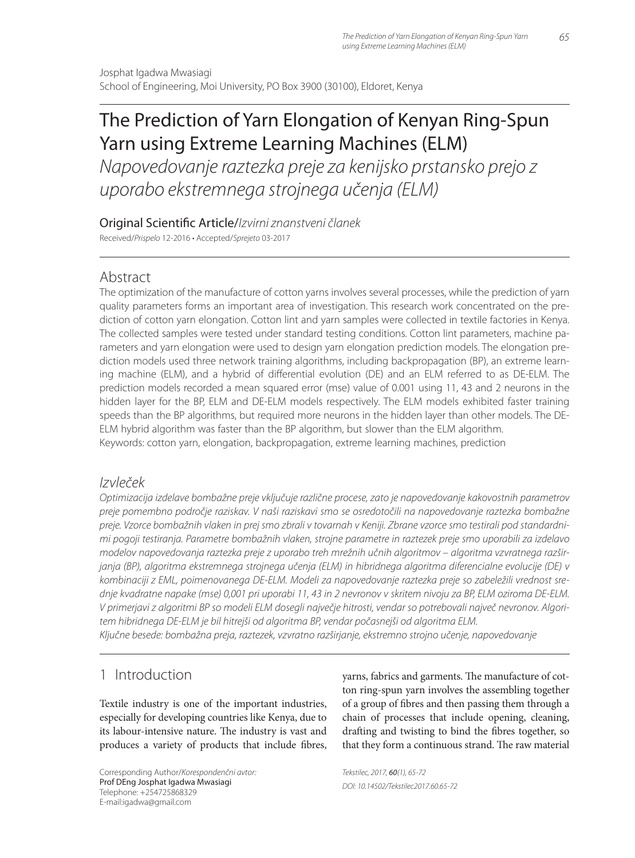# The Prediction of Yarn Elongation of Kenyan Ring-Spun Yarn using Extreme Learning Machines (ELM)

Napovedovanje raztezka preje za kenijsko prstansko prejo z uporabo ekstremnega strojnega učenja (ELM)

Original Scientific Article/Izvirni znanstveni članek

Received/Prispelo 12-2016 • Accepted/Sprejeto 03-2017

# Abstract

The optimization of the manufacture of cotton yarns involves several processes, while the prediction of yarn quality parameters forms an important area of investigation. This research work concentrated on the prediction of cotton yarn elongation. Cotton lint and yarn samples were collected in textile factories in Kenya. The collected samples were tested under standard testing conditions. Cotton lint parameters, machine parameters and yarn elongation were used to design yarn elongation prediction models. The elongation prediction models used three network training algorithms, including backpropagation (BP), an extreme learning machine (ELM), and a hybrid of differential evolution (DE) and an ELM referred to as DE-ELM. The prediction models recorded a mean squared error (mse) value of 0.001 using 11, 43 and 2 neurons in the hidden layer for the BP, ELM and DE-ELM models respectively. The ELM models exhibited faster training speeds than the BP algorithms, but required more neurons in the hidden layer than other models. The DE-ELM hybrid algorithm was faster than the BP algorithm, but slower than the ELM algorithm. Keywords: cotton yarn, elongation, backpropagation, extreme learning machines, prediction

# Izvleček

Optimizacija izdelave bombažne preje vključuje različne procese, zato je napovedovanje kakovostnih parametrov preje pomembno področje raziskav. V naši raziskavi smo se osredotočili na napovedovanje raztezka bombažne preje. Vzorce bombažnih vlaken in prej smo zbrali v tovarnah v Keniji. Zbrane vzorce smo testirali pod standardnimi pogoji testiranja. Parametre bombažnih vlaken, strojne parametre in raztezek preje smo uporabili za izdelavo modelov napovedovanja raztezka preje z uporabo treh mrežnih učnih algoritmov – algoritma vzvratnega razširjanja (BP), algoritma ekstremnega strojnega učenja (ELM) in hibridnega algoritma diferencialne evolucije (DE) v kombinaciji z EML, poimenovanega DE-ELM. Modeli za napovedovanje raztezka preje so zabeležili vrednost srednje kvadratne napake (mse) 0,001 pri uporabi 11, 43 in 2 nevronov v skritem nivoju za BP, ELM oziroma DE-ELM. V primerjavi z algoritmi BP so modeli ELM dosegli največje hitrosti, vendar so potrebovali največ nevronov. Algoritem hibridnega DE-ELM je bil hitrejši od algoritma BP, vendar počasnejši od algoritma ELM. Ključne besede: bombažna preja, raztezek, vzvratno razširjanje, ekstremno strojno učenje, napovedovanje

# 1 Introduction

Textile industry is one of the important industries, especially for developing countries like Kenya, due to its labour-intensive nature. The industry is vast and produces a variety of products that include fibres,

Corresponding Author/Korespondenčni avtor: Prof DEng Josphat Igadwa Mwasiagi Telephone: +254725868329 E-mail:igadwa@gmail.com

yarns, fabrics and garments. The manufacture of cotton ring-spun yarn involves the assembling together of a group of fibres and then passing them through a chain of processes that include opening, cleaning, drafting and twisting to bind the fibres together, so that they form a continuous strand. The raw material

Tekstilec, 2017, 60(1), 65-72 DOI: 10.14502/Tekstilec2017.60.65-72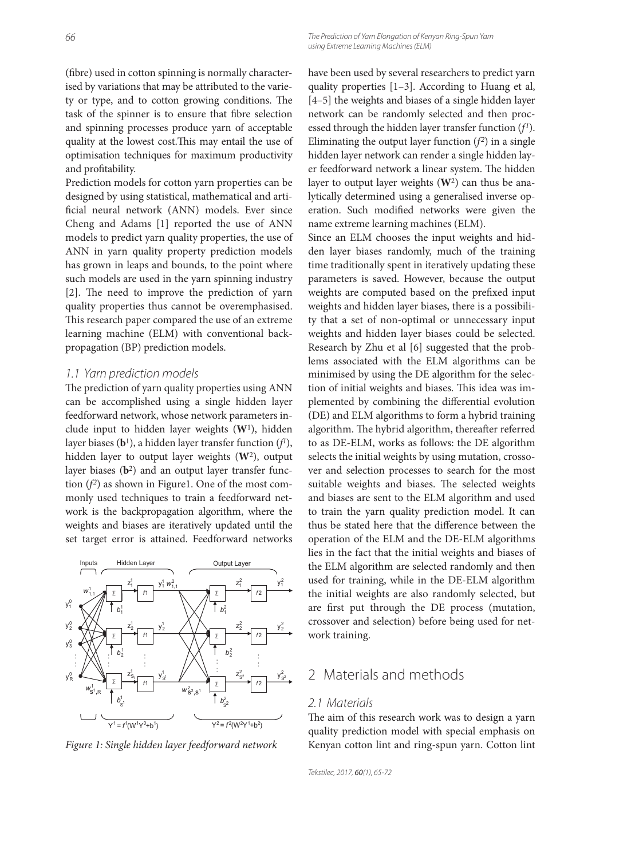(fibre) used in cotton spinning is normally characterised by variations that may be attributed to the variety or type, and to cotton growing conditions. The task of the spinner is to ensure that fibre selection and spinning processes produce yarn of acceptable quality at the lowest cost. This may entail the use of optimisation techniques for maximum productivity and profitability.

Prediction models for cotton yarn properties can be designed by using statistical, mathematical and artificial neural network (ANN) models. Ever since Cheng and Adams [1] reported the use of ANN models to predict yarn quality properties, the use of ANN in yarn quality property prediction models has grown in leaps and bounds, to the point where such models are used in the yarn spinning industry [2]. The need to improve the prediction of yarn quality properties thus cannot be overemphasised. This research paper compared the use of an extreme learning machine (ELM) with conventional backpropagation (BP) prediction models.

#### 1.1 Yarn prediction models

The prediction of yarn quality properties using ANN can be accomplished using a single hidden layer feedforward network, whose network parameters include input to hidden layer weights (**W**1), hidden layer biases (**b**1), a hidden layer transfer function (*f <sup>1</sup>*), hidden layer to output layer weights (**W**2), output layer biases (**b**2) and an output layer transfer function  $(f^2)$  as shown in Figure1. One of the most commonly used techniques to train a feedforward network is the backpropagation algorithm, where the weights and biases are iteratively updated until the set target error is attained. Feedforward networks



have been used by several researchers to predict yarn quality properties [1–3]. According to Huang et al, [4–5] the weights and biases of a single hidden layer network can be randomly selected and then processed through the hidden layer transfer function (*f1*). Eliminating the output layer function  $(f^2)$  in a single hidden layer network can render a single hidden layer feedforward network a linear system. The hidden layer to output layer weights (**W**2) can thus be analytically determined using a generalised inverse operation. Such modified networks were given the name extreme learning machines (ELM).

Since an ELM chooses the input weights and hidden layer biases randomly, much of the training time traditionally spent in iteratively updating these parameters is saved. However, because the output weights are computed based on the prefixed input weights and hidden layer biases, there is a possibility that a set of non-optimal or unnecessary input weights and hidden layer biases could be selected. Research by Zhu et al [6] suggested that the problems associated with the ELM algorithms can be minimised by using the DE algorithm for the selection of initial weights and biases. This idea was implemented by combining the differential evolution (DE) and ELM algorithms to form a hybrid training algorithm. The hybrid algorithm, thereafter referred to as DE-ELM, works as follows: the DE algorithm selects the initial weights by using mutation, crossover and selection processes to search for the most suitable weights and biases. The selected weights and biases are sent to the ELM algorithm and used to train the yarn quality prediction model. It can thus be stated here that the difference between the operation of the ELM and the DE-ELM algorithms lies in the fact that the initial weights and biases of the ELM algorithm are selected randomly and then used for training, while in the DE-ELM algorithm the initial weights are also randomly selected, but are first put through the DE process (mutation, crossover and selection) before being used for network training.

# 2 Materials and methods

#### 2.1 Materials

The aim of this research work was to design a yarn quality prediction model with special emphasis on *Figure 1: Single hidden layer feedforward network* Kenyan cotton lint and ring-spun yarn. Cotton lint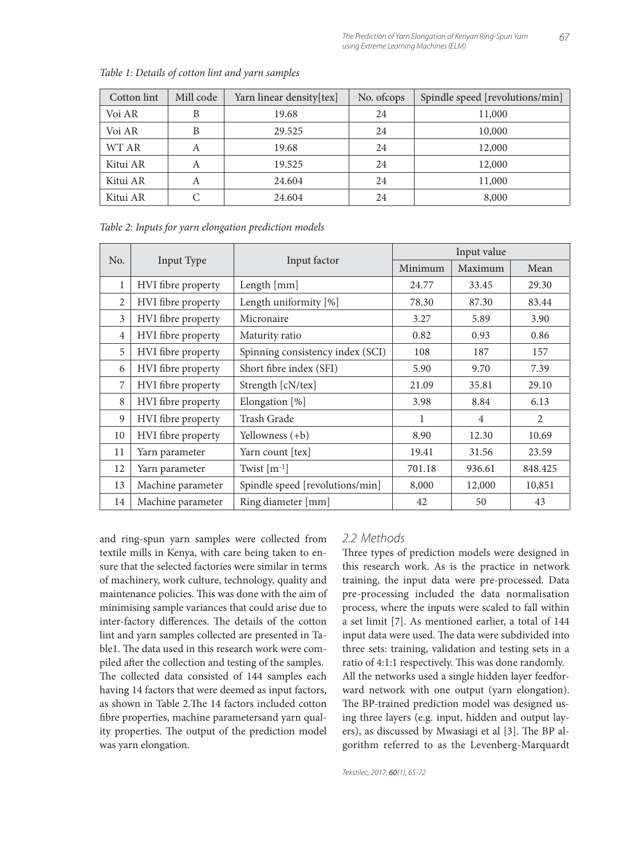| Cotton lint | Mill code | Yarn linear density[tex] | No. of cops | Spindle speed [revolutions/min] |
|-------------|-----------|--------------------------|-------------|---------------------------------|
| Voi AR      | B         | 19.68                    | 24          | 11,000                          |
| Voi AR      | B         | 29.525                   | 24          | 10,000                          |
| WT AR       | A         | 19.68                    | 24          | 12,000                          |
| Kitui AR    | A         | 19.525                   | 24          | 12,000                          |
| Kitui AR    | A         | 24.604                   | 24          | 11,000                          |
| Kitui AR    |           | 24.604                   | 24          | 8,000                           |

*Table 1: Details of cotton lint and yarn samples*

*Table 2: Inputs for yarn elongation prediction models*

|                |                    |                                  | Input value |                |         |  |
|----------------|--------------------|----------------------------------|-------------|----------------|---------|--|
| No.            | Input Type         | Input factor                     | Minimum     | Maximum        | Mean    |  |
| 1              | HVI fibre property | Length [mm]                      | 24.77       | 33.45          | 29.30   |  |
| 2              | HVI fibre property | Length uniformity [%]            | 78.30       | 87.30          | 83.44   |  |
| 3              | HVI fibre property | Micronaire                       | 3.27        | 5.89           | 3.90    |  |
| $\overline{4}$ | HVI fibre property | Maturity ratio                   | 0.82        | 0.93           | 0.86    |  |
| 5              | HVI fibre property | Spinning consistency index (SCI) | 108         | 187            | 157     |  |
| 6              | HVI fibre property | Short fibre index (SFI)          | 5.90        | 9.70           | 7.39    |  |
| 7              | HVI fibre property | Strength [cN/tex]                | 21.09       | 35.81          | 29.10   |  |
| 8              | HVI fibre property | Elongation [%]                   | 3.98        | 8.84           | 6.13    |  |
| 9              | HVI fibre property | Trash Grade                      | 1           | $\overline{4}$ | 2       |  |
| 10             | HVI fibre property | Yellowness (+b)                  | 8.90        | 12.30          | 10.69   |  |
| 11             | Yarn parameter     | Yarn count [tex]                 | 19.41       | 31.56          | 23.59   |  |
| 12             | Yarn parameter     | Twist $[m^{-1}]$                 | 701.18      | 936.61         | 848.425 |  |
| 13             | Machine parameter  | Spindle speed [revolutions/min]  | 8,000       | 12,000         | 10,851  |  |
| 14             | Machine parameter  | Ring diameter [mm]               | 42          | 50             | 43      |  |

and ring-spun yarn samples were collected from textile mills in Kenya, with care being taken to ensure that the selected factories were similar in terms of machinery, work culture, technology, quality and maintenance policies. This was done with the aim of minimising sample variances that could arise due to inter-factory differences. The details of the cotton lint and yarn samples collected are presented in Table1. The data used in this research work were compiled after the collection and testing of the samples. The collected data consisted of 144 samples each having 14 factors that were deemed as input factors, as shown in Table 2. The 14 factors included cotton fibre properties, machine parametersand yarn quality properties. The output of the prediction model was yarn elongation.

#### 2.2 Methods

Three types of prediction models were designed in this research work. As is the practice in network training, the input data were pre-processed. Data pre-processing included the data normalisation process, where the inputs were scaled to fall within a set limit [7]. As mentioned earlier, a total of 144 input data were used. The data were subdivided into three sets: training, validation and testing sets in a ratio of 4:1:1 respectively. This was done randomly. All the networks used a single hidden layer feedforward network with one output (yarn elongation). The BP-trained prediction model was designed using three layers (e.g. input, hidden and output layers), as discussed by Mwasiagi et al [3]. The BP algorithm referred to as the Levenberg-Marquardt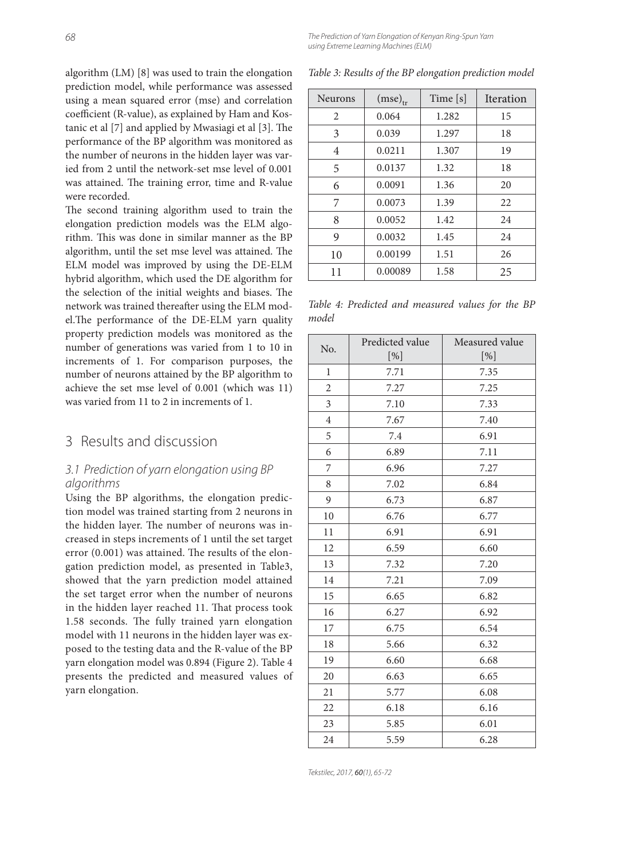68 The Prediction of Yarn Elongation of Kenyan Ring-Spun Yarn using Extreme Learning Machines (ELM)

algorithm (LM) [8] was used to train the elongation prediction model, while performance was assessed using a mean squared error (mse) and correlation coefficient (R-value), as explained by Ham and Kostanic et al  $[7]$  and applied by Mwasiagi et al  $[3]$ . The performance of the BP algorithm was monitored as the number of neurons in the hidden layer was varied from 2 until the network-set mse level of 0.001 was attained. The training error, time and R-value were recorded.

The second training algorithm used to train the elongation prediction models was the ELM algorithm. This was done in similar manner as the BP algorithm, until the set mse level was attained. The ELM model was improved by using the DE-ELM hybrid algorithm, which used the DE algorithm for the selection of the initial weights and biases. The network was trained thereafter using the ELM model. The performance of the DE-ELM yarn quality property prediction models was monitored as the number of generations was varied from 1 to 10 in increments of 1. For comparison purposes, the number of neurons attained by the BP algorithm to achieve the set mse level of 0.001 (which was 11) was varied from 11 to 2 in increments of 1.

## 3 Results and discussion

#### 3.1 Prediction of yarn elongation using BP algorithms

Using the BP algorithms, the elongation prediction model was trained starting from 2 neurons in the hidden layer. The number of neurons was increased in steps increments of 1 until the set target error (0.001) was attained. The results of the elongation prediction model, as presented in Table3, showed that the yarn prediction model attained the set target error when the number of neurons in the hidden layer reached 11. That process took 1.58 seconds. The fully trained yarn elongation model with 11 neurons in the hidden layer was exposed to the testing data and the R-value of the BP yarn elongation model was 0.894 (Figure 2). Table 4 presents the predicted and measured values of yarn elongation.

| <b>Neurons</b> | $(mse)_{tr}$ | Time[s] | Iteration |
|----------------|--------------|---------|-----------|
| $\overline{c}$ | 0.064        | 1.282   | 15        |
| 3              | 0.039        | 1.297   | 18        |
| 4              | 0.0211       | 1.307   | 19        |
| 5              | 0.0137       | 1.32    | 18        |
| 6              | 0.0091       | 1.36    | 20        |
| 7              | 0.0073       | 1.39    | 22        |
| 8              | 0.0052       | 1.42    | 24        |
| 9              | 0.0032       | 1.45    | 24        |
| 10             | 0.00199      | 1.51    | 26        |
| 11             | 0.00089      | 1.58    | 25        |

*Table 3: Results of the BP elongation prediction model*

*Table 4: Predicted and measured values for the BP model*

| No.            | Predicted value | Measured value |
|----------------|-----------------|----------------|
|                | [%]             | $[\%]$         |
| $\mathbf{1}$   | 7.71            | 7.35           |
| 2              | 7.27            | 7.25           |
| 3              | 7.10            | 7.33           |
| $\overline{4}$ | 7.67            | 7.40           |
| 5              | 7.4             | 6.91           |
| 6              | 6.89            | 7.11           |
| 7              | 6.96            | 7.27           |
| 8              | 7.02            | 6.84           |
| 9              | 6.73            | 6.87           |
| 10             | 6.76            | 6.77           |
| 11             | 6.91            | 6.91           |
| 12             | 6.59            | 6.60           |
| 13             | 7.32            | 7.20           |
| 14             | 7.21            | 7.09           |
| 15             | 6.65            | 6.82           |
| 16             | 6.27            | 6.92           |
| 17             | 6.75            | 6.54           |
| 18             | 5.66            | 6.32           |
| 19             | 6.60            | 6.68           |
| 20             | 6.63            | 6.65           |
| 21             | 5.77            | 6.08           |
| 22             | 6.18            | 6.16           |
| 23             | 5.85            | 6.01           |
| 24             | 5.59            | 6.28           |

Tekstilec, 2017, 60(1), 65-72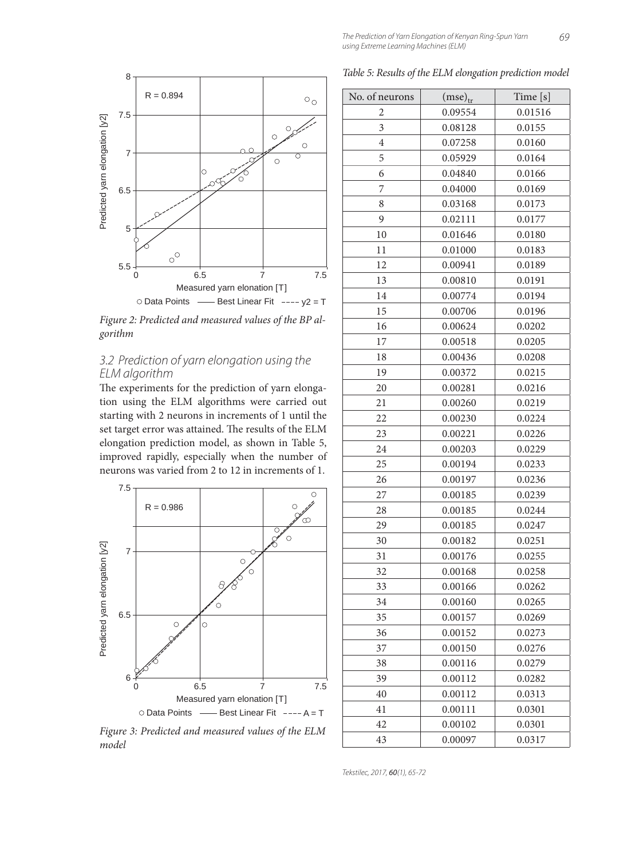

*Figure 2: Predicted and measured values of the BP algorithm*

#### 3.2 Prediction of yarn elongation using the ELM algorithm

The experiments for the prediction of yarn elongation using the ELM algorithms were carried out starting with 2 neurons in increments of 1 until the set target error was attained. The results of the ELM elongation prediction model, as shown in Table 5, improved rapidly, especially when the number of neurons was varied from 2 to 12 in increments of 1.



*Figure 3: Predicted and measured values of the ELM model*

*Table 5: Results of the ELM elongation prediction model*

| No. of neurons | $(mse)_{tr}$ | Time [s] |
|----------------|--------------|----------|
| 2              | 0.09554      | 0.01516  |
| 3              | 0.08128      | 0.0155   |
| 4              | 0.07258      | 0.0160   |
| 5              | 0.05929      | 0.0164   |
| 6              | 0.04840      | 0.0166   |
| 7              | 0.04000      | 0.0169   |
| 8              | 0.03168      | 0.0173   |
| 9              | 0.02111      | 0.0177   |
| 10             | 0.01646      | 0.0180   |
| 11             | 0.01000      | 0.0183   |
| 12             | 0.00941      | 0.0189   |
| 13             | 0.00810      | 0.0191   |
| 14             | 0.00774      | 0.0194   |
| 15             | 0.00706      | 0.0196   |
| 16             | 0.00624      | 0.0202   |
| 17             | 0.00518      | 0.0205   |
| 18             | 0.00436      | 0.0208   |
| 19             | 0.00372      | 0.0215   |
| 20             | 0.00281      | 0.0216   |
| 21             | 0.00260      | 0.0219   |
| 22             | 0.00230      | 0.0224   |
| 23             | 0.00221      | 0.0226   |
| 24             | 0.00203      | 0.0229   |
| 25             | 0.00194      | 0.0233   |
| 26             | 0.00197      | 0.0236   |
| 27             | 0.00185      | 0.0239   |
| 28             | 0.00185      | 0.0244   |
| 29             | 0.00185      | 0.0247   |
| 30             | 0.00182      | 0.0251   |
| 31             | 0.00176      | 0.0255   |
| 32             | 0.00168      | 0.0258   |
| 33             | 0.00166      | 0.0262   |
| 34             | 0.00160      | 0.0265   |
| 35             | 0.00157      | 0.0269   |
| 36             | 0.00152      | 0.0273   |
| 37             | 0.00150      | 0.0276   |
| 38             | 0.00116      | 0.0279   |
| 39             | 0.00112      | 0.0282   |
| 40             | 0.00112      | 0.0313   |
| 41             | 0.00111      | 0.0301   |
| 42             | 0.00102      | 0.0301   |
| 43             | 0.00097      | 0.0317   |

Tekstilec, 2017, 60(1), 65-72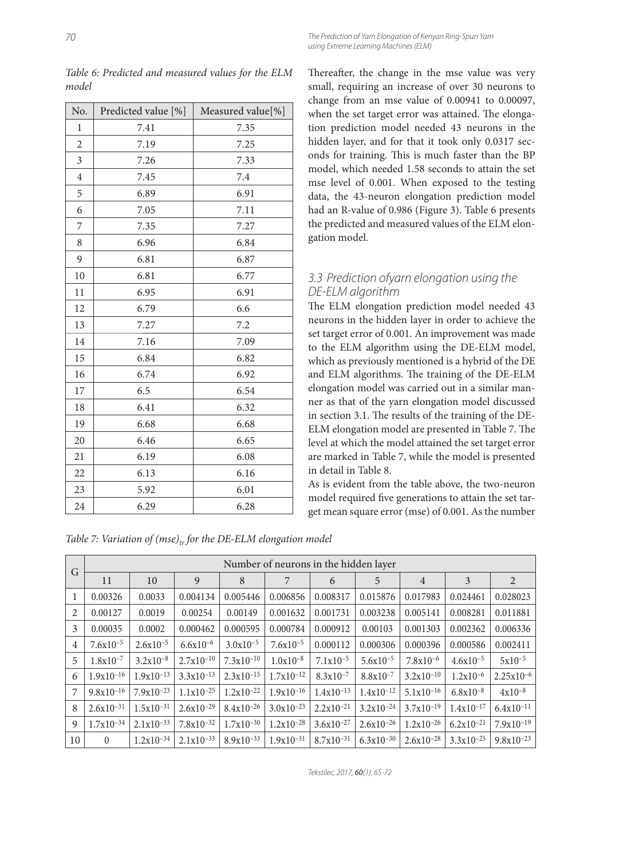| No.            | Predicted value [%] | Measured value[%] |
|----------------|---------------------|-------------------|
| $\mathbf 1$    | 7.41                | 7.35              |
| $\overline{c}$ | 7.19                | 7.25              |
| 3              | 7.26                | 7.33              |
| $\overline{4}$ | 7.45                | 7.4               |
| 5              | 6.89                | 6.91              |
| 6              | 7.05                | 7.11              |
| 7              | 7.35                | 7.27              |
| 8              | 6.96                | 6.84              |
| 9              | 6.81                | 6.87              |
| 10             | 6.81                | 6.77              |
| 11             | 6.95                | 6.91              |
| 12             | 6.79                | 6.6               |
| 13             | 7.27                | 7.2               |
| 14             | 7.16                | 7.09              |
| 15             | 6.84                | 6.82              |
| 16             | 6.74                | 6.92              |
| 17             | 6.5                 | 6.54              |
| 18             | 6.41                | 6.32              |
| 19             | 6.68                | 6.68              |
| 20             | 6.46                | 6.65              |
| 21             | 6.19                | 6.08              |
| 22             | 6.13                | 6.16              |
| 23             | 5.92                | 6.01              |
| 24             | 6.29                | 6.28              |

*Table 6: Predicted and measured values for the ELM model*

Thereafter, the change in the mse value was very small, requiring an increase of over 30 neurons to change from an mse value of 0.00941 to 0.00097, when the set target error was attained. The elongation prediction model needed 43 neurons in the hidden layer, and for that it took only 0.0317 seconds for training. This is much faster than the BP model, which needed 1.58 seconds to attain the set mse level of 0.001. When exposed to the testing data, the 43-neuron elongation prediction model had an R-value of 0.986 (Figure 3). Table 6 presents the predicted and measured values of the ELM elongation model.

#### 3.3 Prediction ofyarn elongation using the DE-ELM algorithm

The ELM elongation prediction model needed 43 neurons in the hidden layer in order to achieve the set target error of 0.001. An improvement was made to the ELM algorithm using the DE-ELM model, which as previously mentioned is a hybrid of the DE and ELM algorithms. The training of the DE-ELM elongation model was carried out in a similar manner as that of the yarn elongation model discussed in section 3.1. The results of the training of the DE-ELM elongation model are presented in Table 7. The level at which the model attained the set target error are marked in Table 7, while the model is presented in detail in Table 8.

As is evident from the table above, the two-neuron model required five generations to attain the set target mean square error (mse) of 0.001. As the number

*Table 7: Variation of (mse)<sub>tr</sub> for the DE-ELM elongation model* 

| G  |                | Number of neurons in the hidden layer |                |                |                |                |                |                |                |                |  |
|----|----------------|---------------------------------------|----------------|----------------|----------------|----------------|----------------|----------------|----------------|----------------|--|
|    | 11             | 10                                    | 9              | 8              | 7              | 6              | 5              | $\overline{4}$ | 3              | 2              |  |
| 1  | 0.00326        | 0.0033                                | 0.004134       | 0.005446       | 0.006856       | 0.008317       | 0.015876       | 0.017983       | 0.024461       | 0.028023       |  |
| 2  | 0.00127        | 0.0019                                | 0.00254        | 0.00149        | 0.001632       | 0.001731       | 0.003238       | 0.005141       | 0.008281       | 0.011881       |  |
| 3  | 0.00035        | 0.0002                                | 0.000462       | 0.000595       | 0.000784       | 0.000912       | 0.00103        | 0.001303       | 0.002362       | 0.006336       |  |
| 4  | $7.6x10^{-5}$  | $2.6x10^{-5}$                         | $6.6x10^{-6}$  | $3.0x10^{-5}$  | $7.6x10^{-5}$  | 0.000112       | 0.000306       | 0.000396       | 0.000586       | 0.002411       |  |
| 5  | $1.8x10^{-7}$  | $3.2x10^{-8}$                         | $2.7x10^{-10}$ | $7.3x10^{-10}$ | $1.0x10^{-8}$  | $7.1x10^{-5}$  | $5.6x10^{-5}$  | $7.8x10^{-6}$  | $4.6x10^{-5}$  | $5x10^{-5}$    |  |
| 6  | $1.9x10^{-16}$ | $1.9x10^{-13}$                        | $3.3x10^{-13}$ | $2.3x10^{-15}$ | $1.7x10^{-12}$ | $8.3x10^{-7}$  | $8.8x10^{-7}$  | $3.2x10^{-10}$ | $1.2x10^{-6}$  | $2.25x10^{-6}$ |  |
| 7  | $9.8x10^{-16}$ | $7.9x10^{-23}$                        | $1.1x10^{-25}$ | $1.2x10^{-22}$ | $1.9x10^{-16}$ | $1.4x10^{-13}$ | $1.4x10^{-12}$ | $5.1x10^{-16}$ | $6.8x10^{-8}$  | $4x10^{-8}$    |  |
| 8  | $2.6x10^{-31}$ | $1.5x10^{-31}$                        | $2.6x10^{-29}$ | $8.4x10^{-26}$ | $3.0x10^{-23}$ | $2.2x10^{-21}$ | $3.2x10^{-24}$ | $3.7x10^{-19}$ | $1.4x10^{-17}$ | $6.4x10^{-11}$ |  |
| 9  | $1.7x10^{-34}$ | $2.1x10^{-33}$                        | $7.8x10^{-32}$ | $1.7x10^{-30}$ | $1.2x10^{-28}$ | $3.6x10^{-27}$ | $2.6x10^{-26}$ | $1.2x10^{-26}$ | $6.2x10^{-21}$ | $7.9x10^{-19}$ |  |
| 10 | $\Omega$       | $1.2x10^{-34}$                        | $2.1x10^{-33}$ | $8.9x10^{-33}$ | $1.9x10^{-31}$ | $8.7x10^{-31}$ | $6.3x10^{-30}$ | $2.6x10^{-28}$ | $3.3x10^{-25}$ | $9.8x10^{-23}$ |  |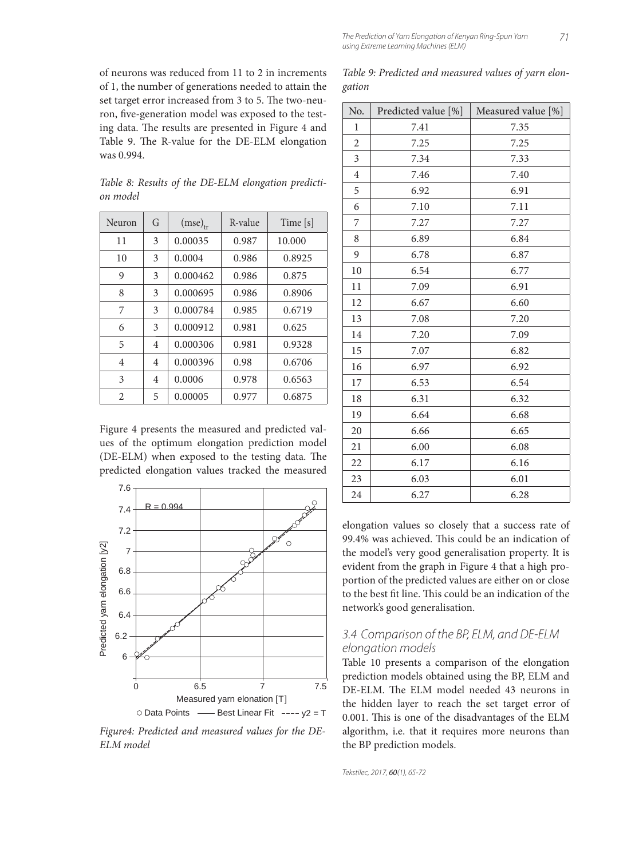of neurons was reduced from 11 to 2 in increments of 1, the number of generations needed to attain the set target error increased from 3 to 5. The two-neuron, five-generation model was exposed to the testing data. The results are presented in Figure 4 and Table 9. The R-value for the DE-ELM elongation was 0.994.

| Table 8: Results of the DE-ELM elongation predicti- |  |  |  |  |
|-----------------------------------------------------|--|--|--|--|
| on model                                            |  |  |  |  |
|                                                     |  |  |  |  |

| Neuron         | G | $(mse)_{tr}$ | R-value | Time [s] |
|----------------|---|--------------|---------|----------|
| 11             | 3 | 0.00035      | 0.987   | 10.000   |
| 10             | 3 | 0.0004       | 0.986   | 0.8925   |
| 9              | 3 | 0.000462     | 0.986   | 0.875    |
| 8              | 3 | 0.000695     | 0.986   | 0.8906   |
| 7              | 3 | 0.000784     | 0.985   | 0.6719   |
| 6              | 3 | 0.000912     | 0.981   | 0.625    |
| 5              | 4 | 0.000306     | 0.981   | 0.9328   |
| 4              | 4 | 0.000396     | 0.98    | 0.6706   |
| 3              | 4 | 0.0006       | 0.978   | 0.6563   |
| $\overline{2}$ | 5 | 0.00005      | 0.977   | 0.6875   |

Figure 4 presents the measured and predicted values of the optimum elongation prediction model (DE-ELM) when exposed to the testing data. The predicted elongation values tracked the measured



*Figure4: Predicted and measured values for the DE-ELM model*

*Table 9: Predicted and measured values of yarn elongation*

| No.            | Predicted value [%] | Measured value [%] |
|----------------|---------------------|--------------------|
| 1              | 7.41                | 7.35               |
| $\overline{c}$ | 7.25                | 7.25               |
| 3              | 7.34                | 7.33               |
| $\overline{4}$ | 7.46                | 7.40               |
| 5              | 6.92                | 6.91               |
| 6              | 7.10                | 7.11               |
| 7              | 7.27                | 7.27               |
| 8              | 6.89                | 6.84               |
| 9              | 6.78                | 6.87               |
| 10             | 6.54                | 6.77               |
| 11             | 7.09                | 6.91               |
| 12             | 6.67                | 6.60               |
| 13             | 7.08                | 7.20               |
| 14             | 7.20                | 7.09               |
| 15             | 7.07                | 6.82               |
| 16             | 6.97                | 6.92               |
| 17             | 6.53                | 6.54               |
| 18             | 6.31                | 6.32               |
| 19             | 6.64                | 6.68               |
| 20             | 6.66                | 6.65               |
| 21             | 6.00                | 6.08               |
| 22             | 6.17                | 6.16               |
| 23             | 6.03                | 6.01               |
| 24             | 6.27                | 6.28               |

elongation values so closely that a success rate of 99.4% was achieved. This could be an indication of the model's very good generalisation property. It is evident from the graph in Figure 4 that a high proportion of the predicted values are either on or close to the best fit line. This could be an indication of the network's good generalisation.

#### 3.4 Comparison of the BP, ELM, and DE-ELM elongation models

Table 10 presents a comparison of the elongation prediction models obtained using the BP, ELM and DE-ELM. The ELM model needed 43 neurons in the hidden layer to reach the set target error of 0.001. This is one of the disadvantages of the ELM algorithm, i.e. that it requires more neurons than the BP prediction models.